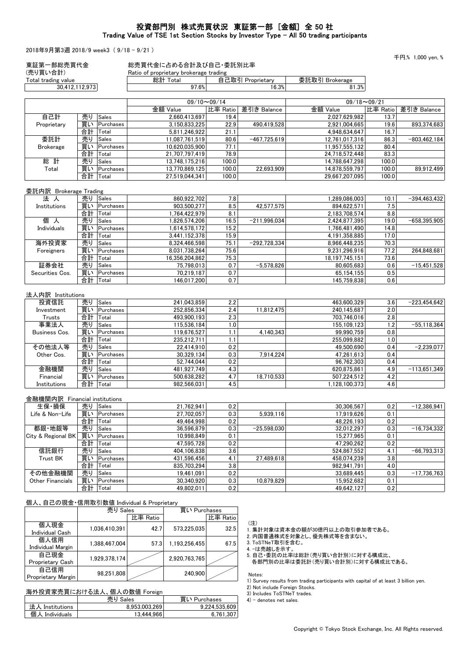## 投資部門別 株式売買状況 東証第一部 [金額] 全 50 社 Trading Value of TSE 1st Section Stocks by Investor Type - All 50 trading participants

2018年9月第3週 2018/9 week3 ( 9/18 - 9/21 )

千円,% 1,000 yen, %

| (売り買い合計)                                 |           |                       |          | Ratio of proprietary brokerage trading<br>総計 Total |                                | 自己取引 Proprietary | 委託取引 Brokerage                                               |                             |                |
|------------------------------------------|-----------|-----------------------|----------|----------------------------------------------------|--------------------------------|------------------|--------------------------------------------------------------|-----------------------------|----------------|
| Total trading value<br>30,412,112,973    |           |                       |          | 97.6%                                              |                                | 16.3%            | 81.3%                                                        |                             |                |
|                                          |           |                       |          |                                                    |                                |                  |                                                              |                             |                |
|                                          |           |                       |          | 金額 Value                                           | $09/10 \sim 09/14$<br>比率 Ratio | 差引き Balance      | 金額 Value                                                     | $09/18 - 09/21$<br>比率 Ratio | 差引き Balance    |
| 自己計                                      |           | 売り Sales              |          | 2,660,413,697                                      | 19.4                           |                  | 2,027,629,982                                                | 13.7                        |                |
| Proprietary                              |           | 買い Purchases          |          | 3,150,833,225                                      | 22.9                           | 490,419,528      | 2,921,004,665                                                | 19.6                        | 893,374,683    |
|                                          |           | 合計 Total              |          | 5,811,246,922                                      | 21.1                           |                  | 4,948,634,647                                                | 16.7                        |                |
| 委託計                                      |           | 売り Sales              |          | 11,087,761,519                                     | 80.6                           | $-467,725,619$   | 12,761,017,316                                               | 86.3                        | $-803,462,184$ |
| <b>Brokerage</b>                         |           | 買い Purchases          |          | 10,620,035,900                                     | 77.1                           |                  | 11,957,555,132                                               | 80.4                        |                |
|                                          |           | 合計 Total              |          | 21,707,797,419                                     | 78.9                           |                  | 24,718,572,448                                               | 83.3                        |                |
| 総 計                                      | 売り        | Sales                 |          | 13,748,175,216                                     | 100.0                          |                  | 14,788,647,298                                               | 100.0                       |                |
| Total                                    |           | 買い Purchases          |          | 13,770,869,125                                     | 100.0                          | 22,693,909       | 14,878,559,797                                               | 100.0                       | 89.912.499     |
|                                          |           | 合計 Total              |          | 27,519,044,341                                     | 100.0                          |                  | 29,667,207,095                                               | 100.0                       |                |
| 委託内訳 Brokerage Trading                   |           |                       |          |                                                    |                                |                  |                                                              |                             |                |
| 法 人                                      | 売り        | Sales                 |          | 860,922,702                                        | 7.8                            |                  | 1,289,086,003                                                | 10.1                        | $-394,463,432$ |
| Institutions                             |           | 買い Purchases          |          | 903,500,277                                        | 8.5                            | 42,577,575       | 894,622,571                                                  | 7.5                         |                |
|                                          |           | 合計   Total            |          | 1,764,422,979                                      | 8.1                            |                  | 2,183,708,574                                                | 8.8                         |                |
| 個 人                                      |           | 売り Sales              |          | 1,826,574,206                                      | 16.5                           | $-211,996,034$   | 2,424,877,395                                                | 19.0                        | $-658,395,905$ |
| Individuals                              |           | 買い Purchases          |          | 1,614,578,172                                      | 15.2                           |                  | 1,766,481,490                                                | 14.8                        |                |
|                                          |           | 合計 Total              |          | 3,441,152,378                                      | 15.9                           |                  | 4,191,358,885                                                | 17.0                        |                |
| 海外投資家                                    | 売り        | Sales                 |          | 8.324.466.598                                      | 75.1                           | $-292.728.334$   | 8,966,448,235                                                | 70.3                        |                |
| Foreigners                               | 合計        | 買い Purchases<br>Total |          | 8,031,738,264                                      | 75.6<br>75.3                   |                  | 9,231,296,916<br>18,197,745,151                              | 77.2                        | 264.848.681    |
| 証券会社                                     | 売り        | Sales                 |          | 16,356,204,862<br>75,798,013                       | 0.7                            | $-5,578,826$     | 80,605,683                                                   | 73.6<br>0.6                 | $-15.451.528$  |
| Securities Cos.                          |           | 買い Purchases          |          | 70,219,187                                         | 0.7                            |                  | 65,154,155                                                   | 0.5                         |                |
|                                          | 合計 Total  |                       |          | 146,017,200                                        | 0.7                            |                  | 145,759,838                                                  | 0.6                         |                |
|                                          |           |                       |          |                                                    |                                |                  |                                                              |                             |                |
| 法人内訳 Institutions<br>投資信託                | 売り        | Sales                 |          | 241,043,859                                        | 2.2                            |                  | 463,600,329                                                  | 3.6                         | $-223,454,642$ |
| Investment                               |           | 買い Purchases          |          | 252,856,334                                        | 2.4                            | 11,812,475       | 240,145,687                                                  | 2.0                         |                |
| Trusts                                   |           | 合計 Total              |          | 493,900,193                                        | 2.3                            |                  | 703,746,016                                                  | 2.8                         |                |
| 事業法人                                     | 売り        | Sales                 |          | 115,536,184                                        | 1.0                            |                  | 155,109,123                                                  | 1.2                         | $-55,118,364$  |
| <b>Business Cos.</b>                     |           | 買い Purchases          |          | 119,676,527                                        | 1.1                            | 4,140,343        | 99,990,759                                                   | 0.8                         |                |
|                                          | 合計 Total  |                       |          | 235,212,711                                        | 1.1                            |                  | 255,099,882                                                  | 1.0                         |                |
| その他法人等                                   | 売り        | Sales                 |          | 22,414,910                                         | 0.2                            |                  | 49,500,690                                                   | 0.4                         | $-2,239,077$   |
| Other Cos.                               |           | 買い Purchases          |          | 30,329,134                                         | 0.3                            | 7,914,224        | 47,261,613                                                   | 0.4                         |                |
|                                          | 合計        | Total                 |          | 52,744,044                                         | 0.2                            |                  | 96,762,303                                                   | 0.4                         |                |
| 金融機関                                     | 売り        | Sales                 |          | 481,927,749                                        | 4.3                            |                  | 620,875,861                                                  | 4.9                         | $-113,651,349$ |
| Financial                                |           | 買い Purchases          |          | 500,638,282                                        | 4.7                            | 18,710,533       | 507,224,512                                                  | 4.2                         |                |
| Institutions                             | 合計  Total |                       |          | 982,566,031                                        | 4.5                            |                  | 1.128.100.373                                                | 4.6                         |                |
| 金融機関内訳 Financial institutions            |           |                       |          |                                                    |                                |                  |                                                              |                             |                |
| 生保·損保                                    |           | 売り Sales              |          | 21,762,941                                         | 0.2                            |                  | 30,306,567                                                   | 0.2                         | $-12,386,941$  |
| Life & Non-Life                          |           | 買い Purchases          |          | 27,702,057                                         | 0.3                            | 5,939,116        | 17,919,626                                                   | 0.1                         |                |
|                                          |           | 合計  Total             |          | 49.464.998                                         | 0.2                            |                  | 48,226,193                                                   | 0.2                         |                |
| 都銀·地銀等                                   | 売り        | Sales                 |          | 36,596,879                                         | 0.3                            | $-25.598.030$    | 32,012,297                                                   | 0.3                         | $-16,734,332$  |
| City & Regional BK                       |           | 買い Purchases          |          | 10,998,849                                         | 0.1                            |                  | 15,277,965                                                   | 0.1                         |                |
|                                          | 合計        | Total                 |          | 47,595,728                                         | 0.2                            |                  | 47,290,262                                                   | 0.2                         |                |
| 信託銀行                                     |           | 売り Sales              |          | 404,106,838                                        | 3.6                            |                  | 524.867.552                                                  | 4.1                         | $-66,793,313$  |
| Trust BK                                 |           | 買い Purchases          |          | 431,596,456                                        | 4.1                            | 27,489,618       | 458,074,239                                                  | 3.8                         |                |
|                                          |           | 合計  Total             |          | 835,703,294                                        | 3.8                            |                  | 982,941,791                                                  | 4.0                         |                |
| その他金融機関                                  | 売り        | Sales                 |          | 19,461,091                                         | 0.2                            |                  | 33,689,445                                                   | 0.3                         | $-17,736,763$  |
| <b>Other Financials</b>                  | 買い<br>合計  | Purchases<br>Total    |          | 30.340.920<br>49,802,011                           | 0.3<br>0.2                     | 10,879,829       | 15,952,682<br>49,642,127                                     | 0.1<br>0.2                  |                |
|                                          |           |                       |          |                                                    |                                |                  |                                                              |                             |                |
| 個人、自己の現金・信用取引数値 Individual & Proprietary |           | 売り Sales              |          | 買い Purchases                                       |                                |                  |                                                              |                             |                |
|                                          |           |                       | 比率 Ratio |                                                    | 比率 Ratio                       |                  |                                                              |                             |                |
| 個人現金                                     |           | 1,036,410,391         | 42.7     | 573,225,035                                        | 32.5                           | (注)              |                                                              |                             |                |
| Individual Cash                          |           |                       |          |                                                    |                                |                  | 1. 集計対象は資本金の額が30億円以上の取引参加者である。<br>2. 内国普通株式を対象とし、優先株式等を含まない。 |                             |                |
| 個人信用                                     |           | 1,388,467,004         | 57.3     | 1,193,256,455                                      | 67.5                           | 3. ToSTNeT取引を含む。 |                                                              |                             |                |
| Individual Margin                        |           |                       |          |                                                    |                                | 4. -は売越しを示す。     |                                                              |                             |                |
| 自己現金                                     |           | 1,929,378,174         |          | 2,920,763,765                                      |                                |                  | 5. 自己·委託の比率は総計(売り買い合計別)に対する構成比、                              |                             |                |
| Proprietary Cash                         |           |                       |          |                                                    |                                |                  | 各部門別の比率は委託計(売り買い合計別)に対する構成比である。                              |                             |                |

各部門別の比率は委託計(売り買い合計別)に対する構成比である。

 Notes: 1) Survey results from trading participants with capital of at least 3 billion yen.

2) Not include Foreign Stocks.

3) Includes ToSTNeT trades.

4) - denotes net sales.

#### 海外投資家売買における法人、個人の数値 Foreign <u>売り Sales 買い Purchases</u><br>8,953,003,269 9,224,535,609 法人 Institutions | 8,953,003,269 | 9,224,535,609 個人 Individuals 13,444,966 6,761,307

 $\overline{P}$   $\overline{P}$   $\overline{P}$   $\overline{P}$   $\overline{P}$   $\overline{P}$   $\overline{P}$   $\overline{P}$   $\overline{P}$   $\overline{P}$   $\overline{P}$   $\overline{P}$   $\overline{P}$   $\overline{P}$   $\overline{P}$   $\overline{P}$   $\overline{P}$   $\overline{P}$   $\overline{P}$   $\overline{P}$   $\overline{P}$   $\overline{P}$   $\overline{P}$   $\overline{P}$   $\overline$ 

自己信用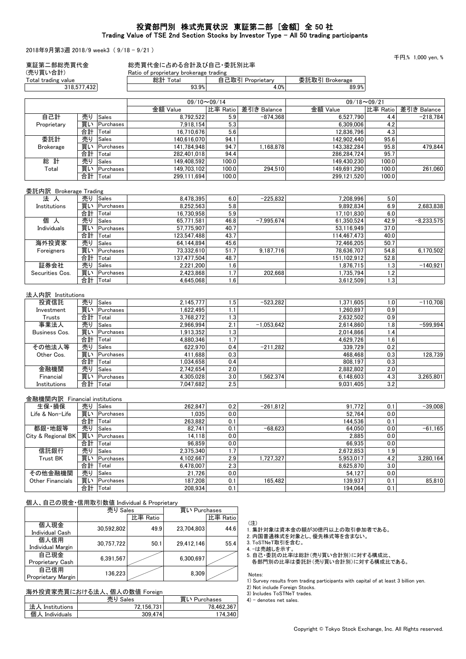## 投資部門別 株式売買状況 東証第二部 [金額] 全 50 社 Trading Value of TSE 2nd Section Stocks by Investor Type - All 50 trading participants

2018年9月第3週 2018/9 week3 ( 9/18 - 9/21 )

千円 $%1000$  yen  $%$ 

| (売り買い合計)<br>Total trading value |             |                | Ratio of proprietary brokerage trading<br>総計 Total |                    | 自己取引 Proprietary          | 委託取引 Brokerage         |                 |              |
|---------------------------------|-------------|----------------|----------------------------------------------------|--------------------|---------------------------|------------------------|-----------------|--------------|
|                                 | 318,577,432 |                | 93.9%                                              |                    | 4.0%                      | 89.9%                  |                 |              |
|                                 |             |                |                                                    |                    |                           |                        |                 |              |
|                                 |             |                | 金額 Value                                           | $09/10 \sim 09/14$ |                           | 金額 Value               | $09/18 - 09/21$ | 差引き Balance  |
| 自己計                             | 売り          | Sales          | 8,792,522                                          | 比率 Ratio<br>5.9    | 差引き Balance<br>$-874,368$ | 6,527,790              | 比率 Ratio<br>4.4 | $-218,784$   |
| Proprietary                     |             | 買い Purchases   | 7,918,154                                          | 5.3                |                           | 6,309,006              | 4.2             |              |
|                                 | 合計          | Total          | 16,710,676                                         | 5.6                |                           | 12,836,796             | 4.3             |              |
| 委託計                             | 売り          | Sales          | 140,616,070                                        | 94.1               |                           | 142,902,440            | 95.6            |              |
| <b>Brokerage</b>                |             | 買い Purchases   | 141,784,948                                        | 94.7               | 1,168,878                 | 143,382,284            | 95.8            | 479,844      |
|                                 | 合計          | Total          | 282,401,018                                        | 94.4               |                           | 286,284,724            | 95.7            |              |
| 総 計                             | 売り          | Sales          | 149,408,592                                        | 100.0              |                           | 149,430,230            | 100.0           |              |
| Total                           |             | 買い Purchases   | 149,703,102                                        | 100.0              | 294,510                   | 149,691,290            | 100.0           | 261,060      |
|                                 | 合計 Total    |                | 299,111,694                                        | 100.0              |                           | 299,121,520            | 100.0           |              |
|                                 |             |                |                                                    |                    |                           |                        |                 |              |
| 委託内訳 Brokerage Trading          |             |                |                                                    |                    |                           |                        |                 |              |
| 法 人                             |             | 売り  Sales      | 8,478,395                                          | 6.0                | $-225,832$                | 7,208,996              | 5.0             |              |
| Institutions                    |             | 買い Purchases   | 8,252,563                                          | 5.8                |                           | 9,892,834              | 6.9             | 2,683,838    |
|                                 | 合計 Total    |                | 16,730,958                                         | 5.9                |                           | 17.101.830             | 6.0             |              |
| 個<br>人                          | 売り          | Sales          | 65,771,581                                         | 46.8               | $-7,995,674$              | 61,350,524             | 42.9            | $-8,233,575$ |
| Individuals                     |             | 買い Purchases   | 57,775,907                                         | 40.7               |                           | 53,116,949             | 37.0            |              |
|                                 | 合計 Total    |                | 123,547,488                                        | 43.7               |                           | 114,467,473            | 40.0            |              |
| 海外投資家                           | 売り          | Sales          | 64,144,894                                         | 45.6               |                           | 72,466,205             | 50.7            |              |
| Foreigners                      |             | 買い Purchases   | 73,332,610                                         | 51.7               | 9,187,716                 | 78,636,707             | 54.8            | 6,170,502    |
|                                 | 合計  Total   |                | 137,477,504                                        | 48.7               |                           | 151,102,912            | 52.8            |              |
| 証券会社                            | 売り          | Sales          | 2,221,200                                          | 1.6                |                           | 1,876,715              | 1.3             | $-140,921$   |
| Securities Cos.                 | 合計 Total    | 買い Purchases   | 2,423,868<br>4,645,068                             | 1.7<br>1.6         | 202,668                   | 1,735,794<br>3,612,509 | 1.2<br>1.3      |              |
|                                 |             |                |                                                    |                    |                           |                        |                 |              |
| 法人内訳 Institutions               |             | 売り Sales       |                                                    |                    |                           |                        |                 |              |
| 投資信託                            |             | 買い Purchases   | 2,145,777<br>1,622,495                             | 1.5                | $-523,282$                | 1,371,605              | 1.0<br>0.9      | $-110,708$   |
| Investment                      | 合計 Total    |                | 3,768,272                                          | 1.1<br>1.3         |                           | 1,260,897<br>2,632,502 | 0.9             |              |
| Trusts<br>事業法人                  | 売り          | Sales          | 2,966,994                                          | 2.1                | $-1,053,642$              | 2,614,860              | 1.8             | $-599,994$   |
| Business Cos.                   |             | 買い Purchases   | 1,913,352                                          | 1.3                |                           | 2,014,866              | 1.4             |              |
|                                 | 合計 Total    |                | 4,880,346                                          | 1.7                |                           | 4,629,726              | 1.6             |              |
| その他法人等                          | 売り          | Sales          | 622,970                                            | 0.4                | $-211,282$                | 339,729                | 0.2             |              |
| Other Cos.                      |             | 買い Purchases   | 411,688                                            | 0.3                |                           | 468,468                | 0.3             | 128,739      |
|                                 | 合計          | Total          | 1,034,658                                          | 0.4                |                           | 808,197                | 0.3             |              |
| 金融機関                            | 売り          | Sales          | 2,742,654                                          | 2.0                |                           | 2,882,802              | 2.0             |              |
| Financial                       |             | 買い Purchases   | 4,305,028                                          | 3.0                | 1,562,374                 | 6.148.603              | 4.3             | 3,265,801    |
| Institutions                    | 合計          | Total          | 7,047,682                                          | 2.5                |                           | 9,031,405              | 3.2             |              |
|                                 |             |                |                                                    |                    |                           |                        |                 |              |
| 金融機関内訳 Financial institutions   |             |                |                                                    |                    |                           |                        |                 |              |
| 生保·損保                           |             | 売り Sales       | 262,847                                            | 0.2                | $-261.812$                | 91,772                 | 0.1             | $-39,008$    |
| Life & Non-Life                 |             | 買い   Purchases | 1,035                                              | 0.0                |                           | 52,764                 | 0.0             |              |
|                                 | 合計   Total  |                | 263,882                                            | 0.1                |                           | 144,536                | 0.1             |              |
| 都銀·地銀等                          | 売り          | Sales          | 82,741                                             | 0.1                | $-68,623$                 | 64,050                 | 0.0             | $-61,165$    |
| City & Regional BK              |             | 買い Purchases   | 14,118                                             | 0.0                |                           | 2,885                  | $0.0\,$         |              |
|                                 | 合計          | Total          | 96,859                                             | $0.0\,$            |                           | 66,935                 | $0.0\,$         |              |
| 信託銀行                            |             | 売り Sales       | 2,375,340                                          | 1.7                |                           | 2,672,853              | 1.9             |              |
| <b>Trust BK</b>                 |             | 買い Purchases   | 4,102,667                                          | 2.9                | 1,727,327                 | 5,953,017              | 4.2             | 3,280,164    |
|                                 | 合計  Total   |                | 6,478,007                                          | 2.3                |                           | 8,625,870              | 3.0             |              |
| その他金融機関                         | 売り          | Sales          | 21,726                                             | 0.0                |                           | 54,127                 | 0.0             |              |
| Other Financials                |             | 買い Purchases   | 187,208                                            | 0.1                | 165,482                   | 139,937                | 0.1             | 85,810       |
|                                 |             | 合計  Total      | 208,934                                            | 0.1                |                           | 194,064                | 0.1             |              |

| 1ロノヽヽ 1コ ヒソンシレ业                  | $\Box$     |          |              |          |  |  |
|----------------------------------|------------|----------|--------------|----------|--|--|
|                                  | 売り Sales   |          | 買い Purchases |          |  |  |
|                                  |            | 比率 Ratio |              | 比率 Ratio |  |  |
| 個人現金<br><b>Individual Cash</b>   | 30.592.802 | 49.9     | 23.704.803   | 44.6     |  |  |
| 個人信用<br><b>Individual Margin</b> | 30.757.722 | 50.1     | 29.412.146   | 55.4     |  |  |
| 自己現金<br>Proprietary Cash         | 6,391,567  |          | 6.300.697    |          |  |  |
| 自己信用<br>Proprietary Margin       | 136,223    |          | 8.309        |          |  |  |

# 海外投資家売買における法人、個人の数値 Foreign

|                 | 売り Sales   | 買い Purchases |
|-----------------|------------|--------------|
| 法人 Institutions | 72.156.731 | 78.462.367   |
| 個人 Individuals  | 309.474    | 174.340      |

(注)

1. 集計対象は資本金の額が30億円以上の取引参加者である。

2. 内国普通株式を対象とし、優先株式等を含まない。

3. ToSTNeT取引を含む。

4. -は売越しを示す。

5. 自己・委託の比率は総計(売り買い合計別)に対する構成比、

各部門別の比率は委託計(売り買い合計別)に対する構成比である。

 Notes: 1) Survey results from trading participants with capital of at least 3 billion yen.

2) Not include Foreign Stocks.

3) Includes ToSTNeT trades.

4) - denotes net sales.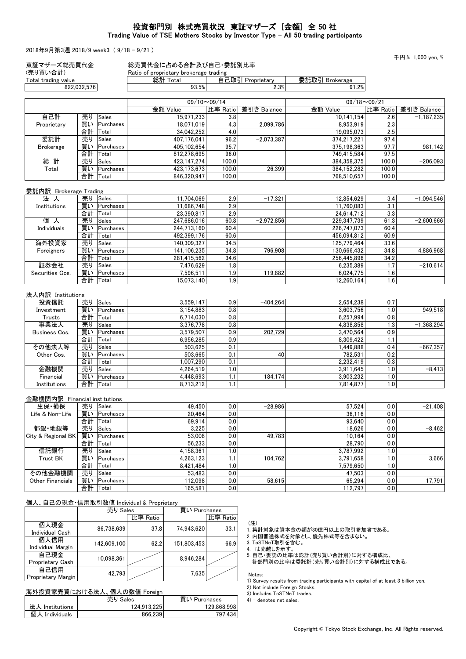# 投資部門別 株式売買状況 東証マザーズ [金額] 全 50 社 Trading Value of TSE Mothers Stocks by Investor Type - All 50 trading participants

2018年9月第3週 2018/9 week3 ( 9/18 - 9/21 )

| 東証マザーズ総売買代金                     |             |                    | 総売買代金に占める合計及び自己・委託別比率                              |                    |                  |                                                         |                 |              |
|---------------------------------|-------------|--------------------|----------------------------------------------------|--------------------|------------------|---------------------------------------------------------|-----------------|--------------|
| (売り買い合計)<br>Total trading value |             |                    | Ratio of proprietary brokerage trading<br>総計 Total |                    | 自己取引 Proprietarv | 委託取引 Brokerage                                          |                 |              |
|                                 | 822,032,576 |                    | 93.5%                                              |                    | 2.3%             | 91.2%                                                   |                 |              |
|                                 |             |                    |                                                    | $09/10 \sim 09/14$ |                  |                                                         | $09/18 - 09/21$ |              |
|                                 |             |                    | 金額 Value                                           | 比率 Ratio           | 差引き Balance      | 金額 Value                                                | 比率 Ratio        | 差引き Balance  |
| 自己計                             | 売り          | Sales              | 15,971,233                                         | 3.8                |                  | 10,141,154                                              | 2.6             | $-1,187,235$ |
| Proprietary                     |             | 買い Purchases       | 18,071,019                                         | 4.3                | 2,099,786        | 8,953,919                                               | 2.3             |              |
|                                 | 合計          | Total              | 34.042.252                                         | 4.0                |                  | 19,095,073                                              | 2.5             |              |
| 委託計                             | 売り          | Sales              | 407,176,041                                        | 96.2               | $-2.073.387$     | 374,217,221                                             | 97.4            |              |
| <b>Brokerage</b>                | 買い          | Purchases          | 405,102,654                                        | 95.7               |                  | 375,198,363                                             | 97.7            | 981,142      |
|                                 | 合計          | Total              | 812.278.695                                        | 96.0               |                  | 749,415,584                                             | 97.5            |              |
| 総計                              | 売り          | Sales              | 423,147,274                                        | 100.0              |                  | 384,358,375                                             | 100.0           | $-206,093$   |
| Total                           | 買い          | Purchases          | 423,173,673                                        | 100.0              | 26,399           | 384,152,282                                             | 100.0           |              |
|                                 | 合計          | Total              | 846,320,947                                        | 100.0              |                  | 768,510,657                                             | 100.0           |              |
| 委託内訳 Brokerage Trading          |             |                    |                                                    |                    |                  |                                                         |                 |              |
| 法人                              | 売り          | Sales              | 11,704,069                                         | 2.9                | $-17,321$        | 12,854,629                                              | 3.4             | $-1,094,546$ |
| Institutions                    | 買い          | Purchases          | 11,686,748                                         | 2.9                |                  | 11,760,083                                              | 3.1             |              |
|                                 | 合計          | Total              | 23,390,817                                         | 2.9                |                  | 24,614,712                                              | 3.3             |              |
| 個人                              | 売り          | Sales              | 247.686.016                                        | 60.8               | $-2,972,856$     | 229,347,739                                             | 61.3            | $-2,600,666$ |
| Individuals                     | 買い          | Purchases          | 244,713,160                                        | 60.4               |                  | 226,747,073                                             | 60.4            |              |
|                                 | 合計          | Total              | 492,399,176                                        | 60.6               |                  | 456,094,812                                             | 60.9            |              |
| 海外投資家                           | 売り          | Sales              | 140,309,327                                        | 34.5               |                  | 125,779,464                                             | 33.6            |              |
| Foreigners                      | 買い          | Purchases          | 141,106,235                                        | 34.8               | 796,908          | 130,666,432                                             | 34.8            | 4,886,968    |
|                                 | 合計          | Total              | 281,415,562                                        | 34.6               |                  | 256,445,896                                             | 34.2            |              |
| 証券会社                            | 売り          | Sales              | 7,476,629                                          | 1.8                |                  | 6,235,389                                               | 1.7             | $-210,614$   |
| Securities Cos.                 | 買い          | Purchases          | 7,596,511                                          | 1.9                | 119,882          | 6,024,775                                               | 1.6             |              |
|                                 | 合計          | Total              | 15,073,140                                         | 1.9                |                  | 12,260,164                                              | 1.6             |              |
| 法人内訳 Institutions               |             |                    |                                                    |                    |                  |                                                         |                 |              |
| 投資信託                            | 売り          | Sales              | 3,559,147                                          | 0.9                | $-404,264$       | 2,654,238                                               | 0.7             |              |
| Investment                      | 買い          | Purchases          | 3,154,883                                          | 0.8                |                  | 3,603,756                                               | 1.0             | 949,518      |
| Trusts                          | 合計          | Total              | 6,714,030                                          | 0.8                |                  | 6,257,994                                               | 0.8             |              |
| 事業法人                            | 売り          | Sales              | 3,376,778                                          | 0.8                |                  | 4,838,858                                               | 1.3             | $-1,368,294$ |
| Business Cos.                   | 買い          | Purchases          | 3,579,507                                          | 0.9                | 202,729          | 3,470,564                                               | 0.9             |              |
|                                 | 合計          | Total              | 6,956,285                                          | 0.9                |                  | 8,309,422                                               | 1.1             |              |
| その他法人等                          | 売り          | Sales              | 503,625                                            | 0.1                |                  | 1,449,888                                               | 0.4             | $-667,357$   |
| Other Cos.                      | 買い          | Purchases          | 503.665                                            | 0.1                | 40               | 782.531                                                 | 0.2             |              |
|                                 | 合計          | Total              | 1,007,290                                          | 0.1                |                  | 2,232,419                                               | 0.3             |              |
| 金融機関                            | 売り          | <b>Sales</b>       | 4,264,519                                          | 1.0                |                  | 3,911,645                                               | 1.0             | $-8,413$     |
| Financial<br>Institutions       | 買い<br>合計    | Purchases<br>Total | 4,448,693<br>8,713,212                             | 1.1<br>1.1         | 184,174          | 3,903,232<br>7.814.877                                  | 1.0<br>1.0      |              |
|                                 |             |                    |                                                    |                    |                  |                                                         |                 |              |
| 金融機関内訳 Financial institutions   |             |                    |                                                    |                    |                  |                                                         |                 |              |
| 生保·損保                           | 売り          | Sales              | 49,450                                             | 0.0                | $-28,986$        | 57,524                                                  | 0.0             | $-21,408$    |
| Life & Non-Life                 | 買い          | Purchases          | 20,464                                             | 0.0                |                  | 36,116                                                  | 0.0             |              |
|                                 | 合計          | Total              | 69,914                                             | 0.0                |                  | 93,640                                                  | 0.0             |              |
| 都銀·地銀等                          | 売り          | Sales              | 3,225                                              | 0.0                |                  | 18,626                                                  | 0.0             | $-8,462$     |
| City & Regional BK              | 買い          | Purchases          | 53,008                                             | 0.0                | 49,783           | 10,164                                                  | 0.0             |              |
|                                 | 合計          | Total              | 56,233                                             | 0.0                |                  | 28,790                                                  | 0.0             |              |
| 信託銀行                            | 売り          | Sales              | 4,158,361                                          | 1.0                |                  | 3,787,992                                               | 1.0             |              |
| Trust BK                        |             | 買い Purchases       | 4,263,123                                          | 1.1                | 104,762          | 3,791,658                                               | 1.0             | 3,666        |
| その他金融機関                         | 合計          | Total              | 8,421,484                                          | 1.0<br>0.0         |                  | 7,579,650                                               | 1.0<br>0.0      |              |
|                                 | 売り          | Sales              | 53,483                                             |                    |                  | 47,503                                                  |                 |              |
| <b>Other Financials</b>         | 買い<br>合計    | Purchases<br>Total | 112,098<br>165,581                                 | 0.0<br>0.0         | 58,615           | 65,294<br>112,797                                       | 0.0<br>0.0      | 17,791       |
|                                 |             |                    |                                                    |                    |                  |                                                         |                 |              |
|                                 |             |                    | 個人、自己の現金・信用取引数値 Individual & Proprietary           |                    |                  |                                                         |                 |              |
|                                 |             | 売り Sales           | 買い Purchases                                       |                    |                  |                                                         |                 |              |
|                                 |             |                    | 比率 Ratio                                           | 比率 Ratio           | (注)              |                                                         |                 |              |
| 個人現金<br><b>Individual Cash</b>  |             | 86,738,639         | 37.8<br>74,943,620                                 | 33.1               |                  | 1. 集計対象は資本金の額が30億円以上の取引参加者である。<br>市団並深地半た母鱼 山 原生地半学た今土地 |                 |              |

3. ToSTNeT取引を含む。

4. -は売越しを示す。

5. 自己・委託の比率は総計(売り買い合計別)に対する構成比、

各部門別の比率は委託計(売り買い合計別)に対する構成比である。

Notes:

1) Survey results from trading participants with capital of at least 3 billion yen.

2) Not include Foreign Stocks.

3) Includes ToSTNeT trades.

4) - denotes net sales.

# 海外投資家売買における法人、個人の数値 Foreign

個人信用

自己現金

自己信用

|                 | 売り Sales    | 買い Purchases |  |  |  |  |  |
|-----------------|-------------|--------------|--|--|--|--|--|
| 法人 Institutions | 124.913.225 | 129.868.998  |  |  |  |  |  |
| 個人 Individuals  | 866.239     | 797.434      |  |  |  |  |  |

1個人信用 142,609,100 62.2 151,803,453 66.9

Proprietary Cash 10,098,361 8,946,284

日ご信用 42,793 7,635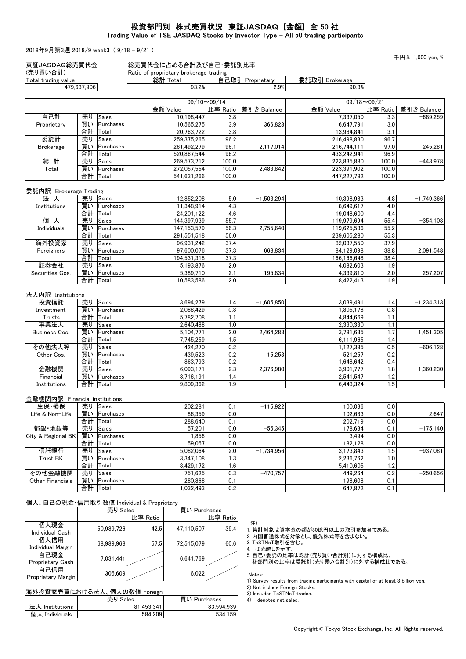## 投資部門別 株式売買状況 東証JASDAQ [金額] 全 50 社 Trading Value of TSE JASDAQ Stocks by Investor Type - All 50 trading participants

2018年9月第3週 2018/9 week3 ( 9/18 - 9/21 )

千円,% 1,000 yen, %

| 東証JASDAQ総売買代金<br>(売り買い合計) |    |              | 総売買代金に占める合計及び自己・委託別比率<br>Ratio of proprietary brokerage trading |             |                  |                    |             |            |
|---------------------------|----|--------------|-----------------------------------------------------------------|-------------|------------------|--------------------|-------------|------------|
| Total trading value       |    |              | 総計 Total                                                        |             | 自己取引 Proprietary | 委託取引 Brokerage     |             |            |
| 479.637.906               |    | 93.2%        |                                                                 | 2.9%        | 90.3%            |                    |             |            |
|                           |    |              | $09/10 \sim 09/14$                                              |             |                  | $09/18 \sim 09/21$ |             |            |
|                           |    | 金額 Value     | 比率 Ratio                                                        | 差引き Balance | 金額 Value         | 比率 Ratio           | 差引き Balance |            |
| 自己計                       | 売り | Sales        | 10.198.447                                                      | 3.8         |                  | 7.337.050          | 3.3         | $-689.259$ |
| Proprietary               | 買い | Purchases    | 10.565.275                                                      | 3.9         | 366.828          | 6.647.791          | 3.0         |            |
|                           | 合計 | Total        | 20.763.722                                                      | 3.8         |                  | 13.984.841         | 3.1         |            |
| 委託計                       | 売り | <b>Sales</b> | 259,375,265                                                     | 96.2        |                  | 216,498,830        | 96.7        |            |
| <b>Brokerage</b>          | 買い | Purchases    | 261.492.279                                                     | 96.1        | 2.117.014        | 216.744.111        | 97.0        | 245,281    |
|                           | 合計 | Total        | 520.867.544                                                     | 96.2        |                  | 433.242.941        | 96.9        |            |
| 総計                        | 売り | <b>Sales</b> | 269.573.712                                                     | 100.0       |                  | 223.835.880        | 100.0       | $-443.978$ |
| Total                     | 買い | Purchases    | 272.057.554                                                     | 100.0       | 2.483.842        | 223.391.902        | 100.0       |            |
|                           | 合計 | Total        | 541.631.266                                                     | 100.0       |                  | 447.227.782        | 100.0       |            |

#### 委託内訳 Brokerage Trading

| 法人              | 売り | <b>Sales</b> | 12,852,208  | 5.0  | $-1.503.294$ | 10.398.983  | 4.8  | $-1.749.366$ |
|-----------------|----|--------------|-------------|------|--------------|-------------|------|--------------|
| Institutions    | 買い | Purchases    | 11.348.914  | 4.3  |              | 8.649.617   | 4.0  |              |
|                 | 合計 | Total        | 24.201.122  | 4.6  |              | 19.048.600  | 4.4  |              |
| 個<br>⋏          | 売り | Sales        | 144.397.939 | 55.7 |              | 119.979.694 | 55.4 | $-354,108$   |
| Individuals     | 買い | Purchases    | 147.153.579 | 56.3 | 2.755.640    | 119.625.586 | 55.2 |              |
|                 | 合計 | Total        | 291.551.518 | 56.0 |              | 239,605,280 | 55.3 |              |
| 海外投資家           | 売り | <b>Sales</b> | 96.931.242  | 37.4 |              | 82.037.550  | 37.9 |              |
| Foreigners      | 買い | Purchases    | 97.600.076  | 37.3 | 668.834      | 84.129.098  | 38.8 | 2.091.548    |
|                 | 合計 | Total        | 194.531.318 | 37.3 |              | 166.166.648 | 38.4 |              |
| 証券会社            | 売り | <b>Sales</b> | 5.193.876   | 2.0  |              | 4.082.603   | 1.9  |              |
| Securities Cos. | 買い | Purchases    | 5.389.710   | 2.1  | 195.834      | 4.339.810   | 2.0  | 257.207      |
|                 | 合計 | Total        | 10.583.586  | 2.0  |              | 8,422,413   | 1.9  |              |

#### 法人内訳 Institutions

| 投資信託          | 売り | Sales        | 3.694.279 | .4 <sup>1</sup>  | $-1.605.850$ | 3.039.491 | 1.4              | $-1,234,313$ |
|---------------|----|--------------|-----------|------------------|--------------|-----------|------------------|--------------|
| Investment    | 買い | Purchases    | 2.088.429 | 0.8              |              | 1.805.178 | 0.8              |              |
| Trusts        | 合計 | Total        | 5.782.708 |                  |              | 4.844.669 | 1.1              |              |
| 事業法人          | 売り | Sales        | 2.640.488 | ا0، ا            |              | 2.330.330 | 1.1              |              |
| Business Cos. | 買い | Purchases    | 5.104.771 | 2.0              | 2.464.283    | 3.781.635 | 1.7 <sub>z</sub> | 1.451.305    |
|               | 合計 | Total        | 7.745.259 | 5'،              |              | 6.111.965 | 1.4              |              |
| その他法人等        | 売り | <b>Sales</b> | 424.270   | 0.2              |              | 1.127.385 | 0.5              | $-606, 128$  |
| Other Cos.    | 買い | Purchases    | 439.523   | 0.2              | 15.253       | 521.257   | 0.2              |              |
|               | 合計 | Total        | 863.793   | 0.2              |              | .648.642  | 0.4              |              |
| 金融機関          | 売り | Sales        | 6.093.171 | 2.3 <sub>1</sub> | $-2.376.980$ | 3.901.777 | 1.8              | $-1.360.230$ |
| Financial     | 買い | Purchases    | 3.716.191 | .4               |              | 2.541.547 | 1.2              |              |
| Institutions  | 合計 | Total        | 9.809.362 | ا 9.             |              | 6.443.324 | ا5. ا            |              |

### 金融機関内訳 Financial institutions

| 生保・損保                   | 売り | <b>Sales</b> | 202.281   | 0.1  | $-115.922$   | 100.036   | 0.0 |            |
|-------------------------|----|--------------|-----------|------|--------------|-----------|-----|------------|
| Life & Non-Life         | 買い | Purchases    | 86.359    | 0.0  |              | 102.683   | 0.0 | 2.647      |
|                         | 合計 | Total        | 288.640   | 0.1  |              | 202.719   | 0.0 |            |
| 都銀 地銀等                  | 売り | Sales        | 57.201    | 0.0  | $-55.345$    | 178.634   | 0.1 | $-175.140$ |
| City & Regional BK      | 買い | Purchases    | 1.856     | 0.0  |              | 3.494     | 0.0 |            |
|                         | 合計 | Total        | 59.057    | 0.0  |              | 182.128   | 0.0 |            |
| 信託銀行                    | 売り | Sales        | 5.082.064 | 2.0  | $-1.734.956$ | 3.173.843 | 1.5 | $-937.081$ |
| <b>Trust BK</b>         | 買い | Purchases    | 3.347.108 | 1.3' |              | 2.236.762 | 1.0 |            |
|                         | 合計 | Total        | 8.429.172 | 1.6  |              | 5.410.605 | 1.2 |            |
| その他金融機関                 | 売り | <b>Sales</b> | 751.625   | 0.3  | $-470.757$   | 449.264   | 0.2 | $-250.656$ |
| <b>Other Financials</b> | 買い | Purchases    | 280.868   | 0.1  |              | 198.608   | 0.1 |            |
|                         | 合計 | Total        | 1.032.493 | 0.2  |              | 647.872   | 0.1 |            |

#### 個人、自己の現金・信用取引数値 Individual & Proprietary

|                                | 売り Sales   |          | 買い Purchases |          |  |
|--------------------------------|------------|----------|--------------|----------|--|
|                                |            | 比率 Ratio |              | 比率 Ratio |  |
| 個人現金<br><b>Individual Cash</b> | 50.989.726 | 42.5     | 47.110.507   | 39.4     |  |
| 個人信用                           |            |          |              |          |  |
| <b>Individual Margin</b>       | 68.989.968 | 57.5     | 72.515.079   | 60.6     |  |
| 自己現金                           | 7,031,441  |          | 6,641,769    |          |  |
| Proprietary Cash               |            |          |              |          |  |
| 自己信用<br>Proprietary Margin     | 305,609    |          | 6,022        |          |  |

# 海外投資家売買における法人、個人の数値 Foreign

|                 | 売り Sales   | 買い Purchases |
|-----------------|------------|--------------|
| 法人 Institutions | 81.453.341 | 83.594.939   |
| 個人 Individuals  | 584.209    | 534.159      |

(注)

1. 集計対象は資本金の額が30億円以上の取引参加者である。

2. 内国普通株式を対象とし、優先株式等を含まない。

3. ToSTNeT取引を含む。

4. -は売越しを示す。

5. 自己・委託の比率は総計(売り買い合計別)に対する構成比、

各部門別の比率は委託計(売り買い合計別)に対する構成比である。

Notes:

1) Survey results from trading participants with capital of at least 3 billion yen.

2) Not include Foreign Stocks.

3) Includes ToSTNeT trades.

4) - denotes net sales.